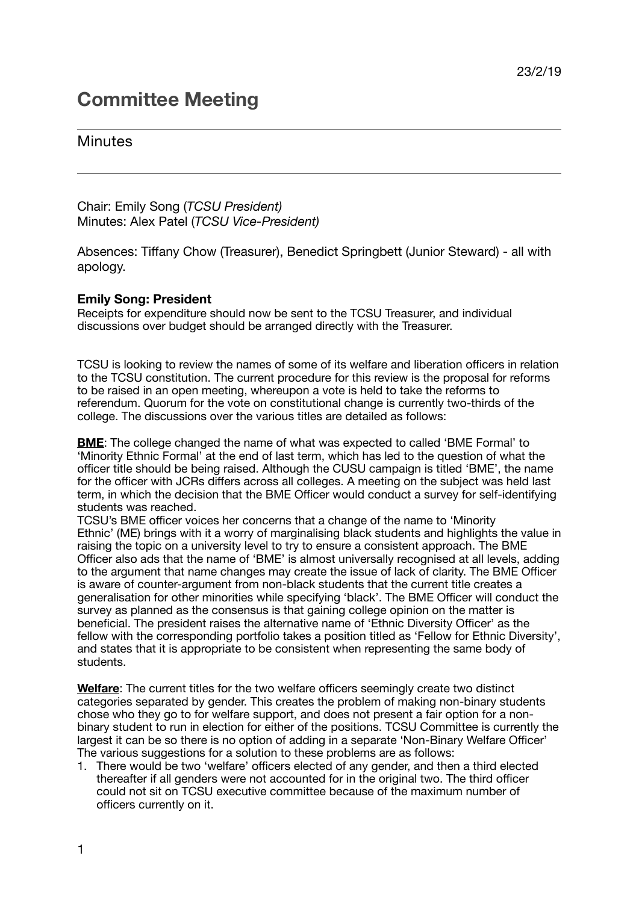# **Committee Meeting**

## Minutes

Chair: Emily Song (*TCSU President)* Minutes: Alex Patel (*TCSU Vice-President)*

Absences: Tiffany Chow (Treasurer), Benedict Springbett (Junior Steward) - all with apology.

### **Emily Song: President**

Receipts for expenditure should now be sent to the TCSU Treasurer, and individual discussions over budget should be arranged directly with the Treasurer.

TCSU is looking to review the names of some of its welfare and liberation officers in relation to the TCSU constitution. The current procedure for this review is the proposal for reforms to be raised in an open meeting, whereupon a vote is held to take the reforms to referendum. Quorum for the vote on constitutional change is currently two-thirds of the college. The discussions over the various titles are detailed as follows:

**BME**: The college changed the name of what was expected to called 'BME Formal' to 'Minority Ethnic Formal' at the end of last term, which has led to the question of what the officer title should be being raised. Although the CUSU campaign is titled 'BME', the name for the officer with JCRs differs across all colleges. A meeting on the subject was held last term, in which the decision that the BME Officer would conduct a survey for self-identifying students was reached.

TCSU's BME officer voices her concerns that a change of the name to 'Minority Ethnic' (ME) brings with it a worry of marginalising black students and highlights the value in raising the topic on a university level to try to ensure a consistent approach. The BME Officer also ads that the name of 'BME' is almost universally recognised at all levels, adding to the argument that name changes may create the issue of lack of clarity. The BME Officer is aware of counter-argument from non-black students that the current title creates a generalisation for other minorities while specifying 'black'. The BME Officer will conduct the survey as planned as the consensus is that gaining college opinion on the matter is beneficial. The president raises the alternative name of 'Ethnic Diversity Officer' as the fellow with the corresponding portfolio takes a position titled as 'Fellow for Ethnic Diversity', and states that it is appropriate to be consistent when representing the same body of students.

**Welfare**: The current titles for the two welfare officers seemingly create two distinct categories separated by gender. This creates the problem of making non-binary students chose who they go to for welfare support, and does not present a fair option for a nonbinary student to run in election for either of the positions. TCSU Committee is currently the largest it can be so there is no option of adding in a separate 'Non-Binary Welfare Officer' The various suggestions for a solution to these problems are as follows:

1. There would be two 'welfare' officers elected of any gender, and then a third elected thereafter if all genders were not accounted for in the original two. The third officer could not sit on TCSU executive committee because of the maximum number of officers currently on it.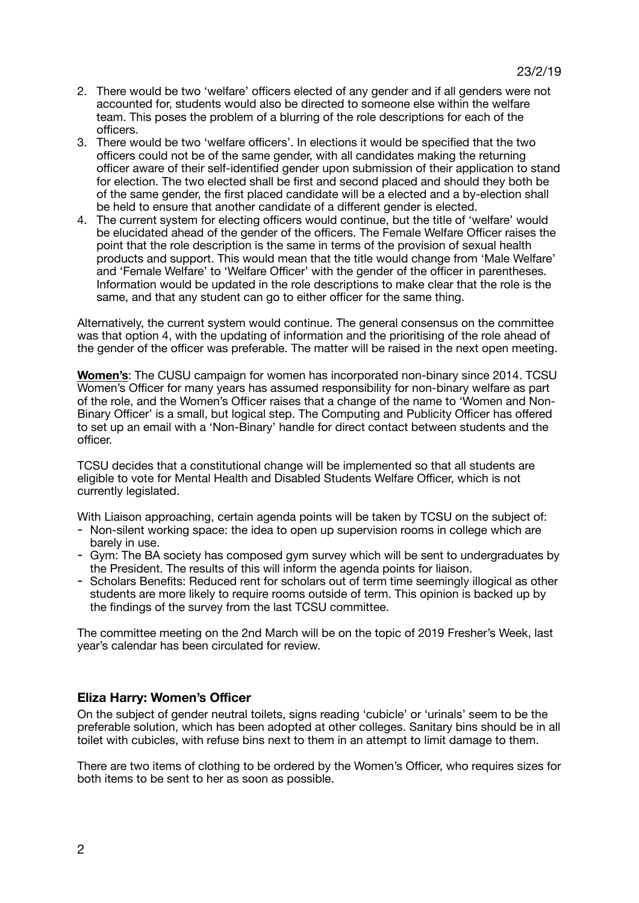- 2. There would be two 'welfare' officers elected of any gender and if all genders were not accounted for, students would also be directed to someone else within the welfare team. This poses the problem of a blurring of the role descriptions for each of the officers.
- 3. There would be two 'welfare officers'. In elections it would be specified that the two officers could not be of the same gender, with all candidates making the returning officer aware of their self-identified gender upon submission of their application to stand for election. The two elected shall be first and second placed and should they both be of the same gender, the first placed candidate will be a elected and a by-election shall be held to ensure that another candidate of a different gender is elected.
- 4. The current system for electing officers would continue, but the title of 'welfare' would be elucidated ahead of the gender of the officers. The Female Welfare Officer raises the point that the role description is the same in terms of the provision of sexual health products and support. This would mean that the title would change from 'Male Welfare' and 'Female Welfare' to 'Welfare Officer' with the gender of the officer in parentheses. Information would be updated in the role descriptions to make clear that the role is the same, and that any student can go to either officer for the same thing.

Alternatively, the current system would continue. The general consensus on the committee was that option 4, with the updating of information and the prioritising of the role ahead of the gender of the officer was preferable. The matter will be raised in the next open meeting.

**Women's**: The CUSU campaign for women has incorporated non-binary since 2014. TCSU Women's Officer for many years has assumed responsibility for non-binary welfare as part of the role, and the Women's Officer raises that a change of the name to 'Women and Non-Binary Officer' is a small, but logical step. The Computing and Publicity Officer has offered to set up an email with a 'Non-Binary' handle for direct contact between students and the officer.

TCSU decides that a constitutional change will be implemented so that all students are eligible to vote for Mental Health and Disabled Students Welfare Officer, which is not currently legislated.

With Liaison approaching, certain agenda points will be taken by TCSU on the subject of:

- Non-silent working space: the idea to open up supervision rooms in college which are barely in use.
- Gym: The BA society has composed gym survey which will be sent to undergraduates by the President. The results of this will inform the agenda points for liaison.
- Scholars Benefits: Reduced rent for scholars out of term time seemingly illogical as other students are more likely to require rooms outside of term. This opinion is backed up by the findings of the survey from the last TCSU committee.

The committee meeting on the 2nd March will be on the topic of 2019 Fresher's Week, last year's calendar has been circulated for review.

#### **Eliza Harry: Women's Officer**

On the subject of gender neutral toilets, signs reading 'cubicle' or 'urinals' seem to be the preferable solution, which has been adopted at other colleges. Sanitary bins should be in all toilet with cubicles, with refuse bins next to them in an attempt to limit damage to them.

There are two items of clothing to be ordered by the Women's Officer, who requires sizes for both items to be sent to her as soon as possible.